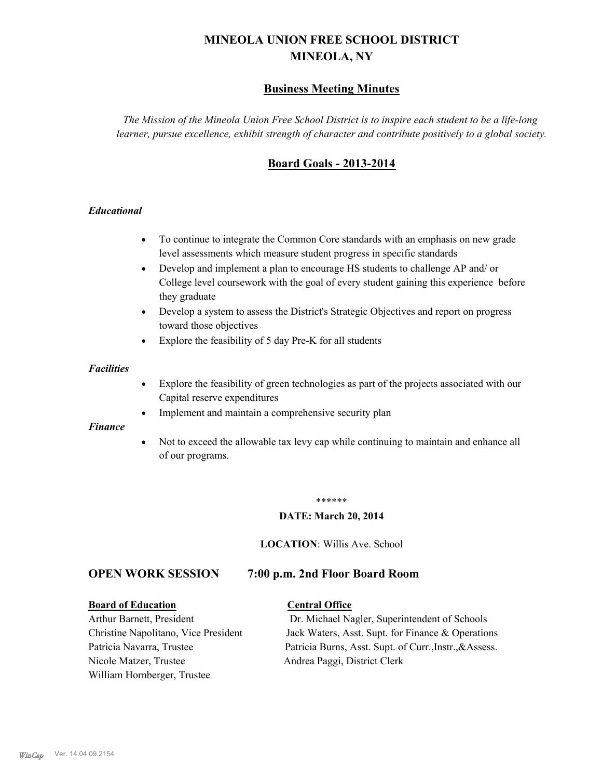# **MINEOLA UNION FREE SCHOOL DISTRICT MINEOLA, NY**

# **Business Meeting Minutes**

*The Mission of the Mineola Union Free School District is to inspire each student to be a life-long learner, pursue excellence, exhibit strength of character and contribute positively to a global society.*

# **Board Goals - 2013-2014**

#### *Educational*

- · To continue to integrate the Common Core standards with an emphasis on new grade level assessments which measure student progress in specific standards
- · Develop and implement a plan to encourage HS students to challenge AP and/ or College level coursework with the goal of every student gaining this experience before they graduate
- Develop a system to assess the District's Strategic Objectives and report on progress toward those objectives
- · Explore the feasibility of 5 day Pre-K for all students

#### *Facilities*

- · Explore the feasibility of green technologies as part of the projects associated with our Capital reserve expenditures
- Implement and maintain a comprehensive security plan

#### *Finance*

• Not to exceed the allowable tax levy cap while continuing to maintain and enhance all of our programs.

#### \*\*\*\*\*\*

#### **DATE: March 20, 2014**

**LOCATION**: Willis Ave. School

# **OPEN WORK SESSION 7:00 p.m. 2nd Floor Board Room**

#### **Board of Education Central Office**

Nicole Matzer, Trustee Andrea Paggi, District Clerk William Hornberger, Trustee

Arthur Barnett, President Dr. Michael Nagler, Superintendent of Schools Christine Napolitano, Vice President Jack Waters, Asst. Supt. for Finance & Operations Patricia Navarra, Trustee Patricia Burns, Asst. Supt. of Curr., Instr., &Assess.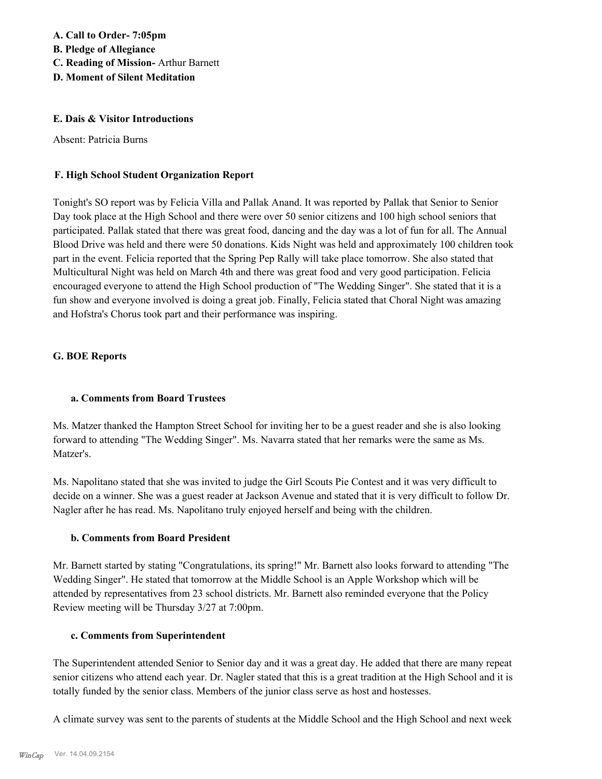**A. Call to Order- 7:05pm B. Pledge of Allegiance C. Reading of Mission-** Arthur Barnett **D. Moment of Silent Meditation**

#### **E. Dais & Visitor Introductions**

Absent: Patricia Burns

#### **F. High School Student Organization Report**

Tonight's SO report was by Felicia Villa and Pallak Anand. It was reported by Pallak that Senior to Senior Day took place at the High School and there were over 50 senior citizens and 100 high school seniors that participated. Pallak stated that there was great food, dancing and the day was a lot of fun for all. The Annual Blood Drive was held and there were 50 donations. Kids Night was held and approximately 100 children took part in the event. Felicia reported that the Spring Pep Rally will take place tomorrow. She also stated that Multicultural Night was held on March 4th and there was great food and very good participation. Felicia encouraged everyone to attend the High School production of "The Wedding Singer". She stated that it is a fun show and everyone involved is doing a great job. Finally, Felicia stated that Choral Night was amazing and Hofstra's Chorus took part and their performance was inspiring.

#### **G. BOE Reports**

#### **a. Comments from Board Trustees**

Ms. Matzer thanked the Hampton Street School for inviting her to be a guest reader and she is also looking forward to attending "The Wedding Singer". Ms. Navarra stated that her remarks were the same as Ms. Matzer's.

Ms. Napolitano stated that she was invited to judge the Girl Scouts Pie Contest and it was very difficult to decide on a winner. She was a guest reader at Jackson Avenue and stated that it is very difficult to follow Dr. Nagler after he has read. Ms. Napolitano truly enjoyed herself and being with the children.

#### **b. Comments from Board President**

Mr. Barnett started by stating "Congratulations, its spring!" Mr. Barnett also looks forward to attending "The Wedding Singer". He stated that tomorrow at the Middle School is an Apple Workshop which will be attended by representatives from 23 school districts. Mr. Barnett also reminded everyone that the Policy Review meeting will be Thursday 3/27 at 7:00pm.

#### **c. Comments from Superintendent**

The Superintendent attended Senior to Senior day and it was a great day. He added that there are many repeat senior citizens who attend each year. Dr. Nagler stated that this is a great tradition at the High School and it is totally funded by the senior class. Members of the junior class serve as host and hostesses.

A climate survey was sent to the parents of students at the Middle School and the High School and next week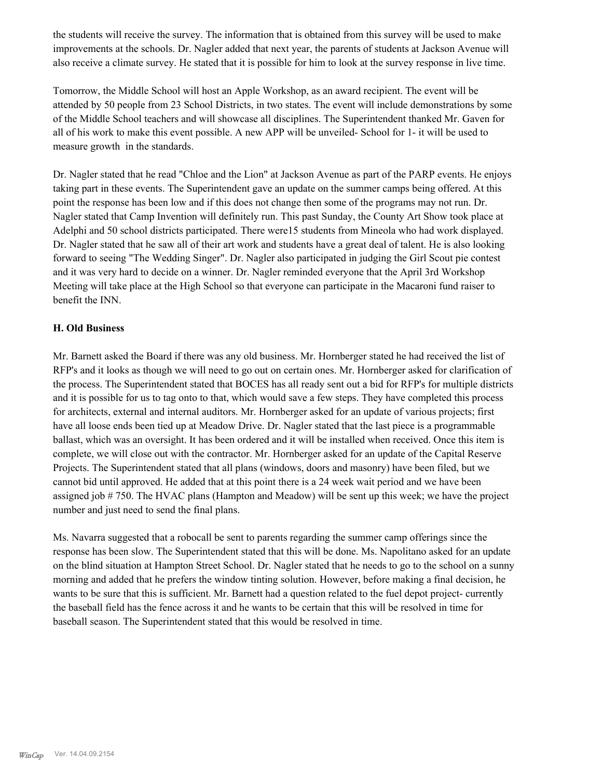the students will receive the survey. The information that is obtained from this survey will be used to make improvements at the schools. Dr. Nagler added that next year, the parents of students at Jackson Avenue will also receive a climate survey. He stated that it is possible for him to look at the survey response in live time.

Tomorrow, the Middle School will host an Apple Workshop, as an award recipient. The event will be attended by 50 people from 23 School Districts, in two states. The event will include demonstrations by some of the Middle School teachers and will showcase all disciplines. The Superintendent thanked Mr. Gaven for all of his work to make this event possible. A new APP will be unveiled- School for 1- it will be used to measure growth in the standards.

Dr. Nagler stated that he read "Chloe and the Lion" at Jackson Avenue as part of the PARP events. He enjoys taking part in these events. The Superintendent gave an update on the summer camps being offered. At this point the response has been low and if this does not change then some of the programs may not run. Dr. Nagler stated that Camp Invention will definitely run. This past Sunday, the County Art Show took place at Adelphi and 50 school districts participated. There were15 students from Mineola who had work displayed. Dr. Nagler stated that he saw all of their art work and students have a great deal of talent. He is also looking forward to seeing "The Wedding Singer". Dr. Nagler also participated in judging the Girl Scout pie contest and it was very hard to decide on a winner. Dr. Nagler reminded everyone that the April 3rd Workshop Meeting will take place at the High School so that everyone can participate in the Macaroni fund raiser to benefit the INN.

#### **H. Old Business**

Mr. Barnett asked the Board if there was any old business. Mr. Hornberger stated he had received the list of RFP's and it looks as though we will need to go out on certain ones. Mr. Hornberger asked for clarification of the process. The Superintendent stated that BOCES has all ready sent out a bid for RFP's for multiple districts and it is possible for us to tag onto to that, which would save a few steps. They have completed this process for architects, external and internal auditors. Mr. Hornberger asked for an update of various projects; first have all loose ends been tied up at Meadow Drive. Dr. Nagler stated that the last piece is a programmable ballast, which was an oversight. It has been ordered and it will be installed when received. Once this item is complete, we will close out with the contractor. Mr. Hornberger asked for an update of the Capital Reserve Projects. The Superintendent stated that all plans (windows, doors and masonry) have been filed, but we cannot bid until approved. He added that at this point there is a 24 week wait period and we have been assigned job # 750. The HVAC plans (Hampton and Meadow) will be sent up this week; we have the project number and just need to send the final plans.

Ms. Navarra suggested that a robocall be sent to parents regarding the summer camp offerings since the response has been slow. The Superintendent stated that this will be done. Ms. Napolitano asked for an update on the blind situation at Hampton Street School. Dr. Nagler stated that he needs to go to the school on a sunny morning and added that he prefers the window tinting solution. However, before making a final decision, he wants to be sure that this is sufficient. Mr. Barnett had a question related to the fuel depot project- currently the baseball field has the fence across it and he wants to be certain that this will be resolved in time for baseball season. The Superintendent stated that this would be resolved in time.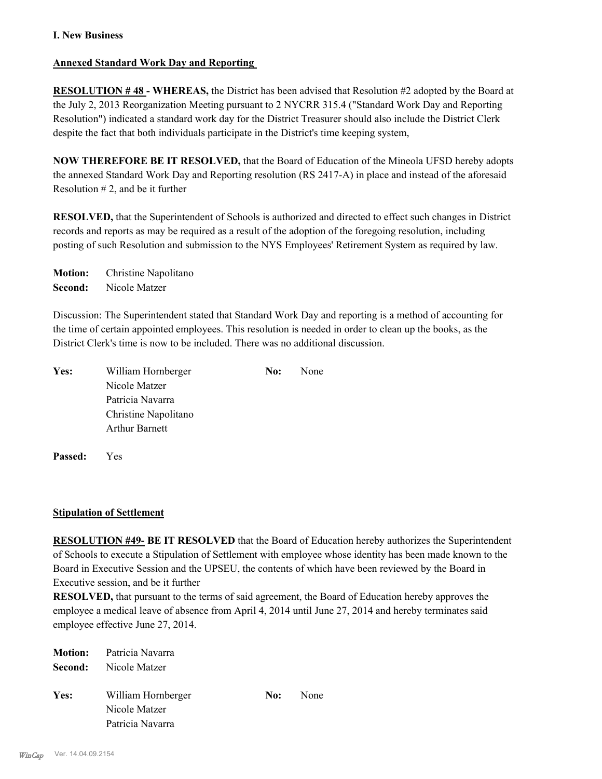#### **I. New Business**

#### **Annexed Standard Work Day and Reporting**

**RESOLUTION # 48 - WHEREAS,** the District has been advised that Resolution #2 adopted by the Board at the July 2, 2013 Reorganization Meeting pursuant to 2 NYCRR 315.4 ("Standard Work Day and Reporting Resolution") indicated a standard work day for the District Treasurer should also include the District Clerk despite the fact that both individuals participate in the District's time keeping system,

**NOW THEREFORE BE IT RESOLVED,** that the Board of Education of the Mineola UFSD hereby adopts the annexed Standard Work Day and Reporting resolution (RS 2417-A) in place and instead of the aforesaid Resolution  $# 2$ , and be it further

**RESOLVED,** that the Superintendent of Schools is authorized and directed to effect such changes in District records and reports as may be required as a result of the adoption of the foregoing resolution, including posting of such Resolution and submission to the NYS Employees' Retirement System as required by law.

**Motion:** Christine Napolitano **Second:** Nicole Matzer

Discussion: The Superintendent stated that Standard Work Day and reporting is a method of accounting for the time of certain appointed employees. This resolution is needed in order to clean up the books, as the District Clerk's time is now to be included. There was no additional discussion.

| Yes: | William Hornberger    | No: | None |  |
|------|-----------------------|-----|------|--|
|      | Nicole Matzer         |     |      |  |
|      | Patricia Navarra      |     |      |  |
|      | Christine Napolitano  |     |      |  |
|      | <b>Arthur Barnett</b> |     |      |  |
|      |                       |     |      |  |

**Passed:** Yes

#### **Stipulation of Settlement**

**RESOLUTION #49- BE IT RESOLVED** that the Board of Education hereby authorizes the Superintendent of Schools to execute a Stipulation of Settlement with employee whose identity has been made known to the Board in Executive Session and the UPSEU, the contents of which have been reviewed by the Board in Executive session, and be it further

**RESOLVED,** that pursuant to the terms of said agreement, the Board of Education hereby approves the employee a medical leave of absence from April 4, 2014 until June 27, 2014 and hereby terminates said employee effective June 27, 2014.

|      | <b>Motion:</b> Patricia Navarra |     |      |
|------|---------------------------------|-----|------|
|      | <b>Second:</b> Nicole Matzer    |     |      |
|      |                                 |     |      |
| Yes: | William Hornberger              | No: | None |
|      | Nicole Matzer                   |     |      |
|      | Patricia Navarra                |     |      |
|      |                                 |     |      |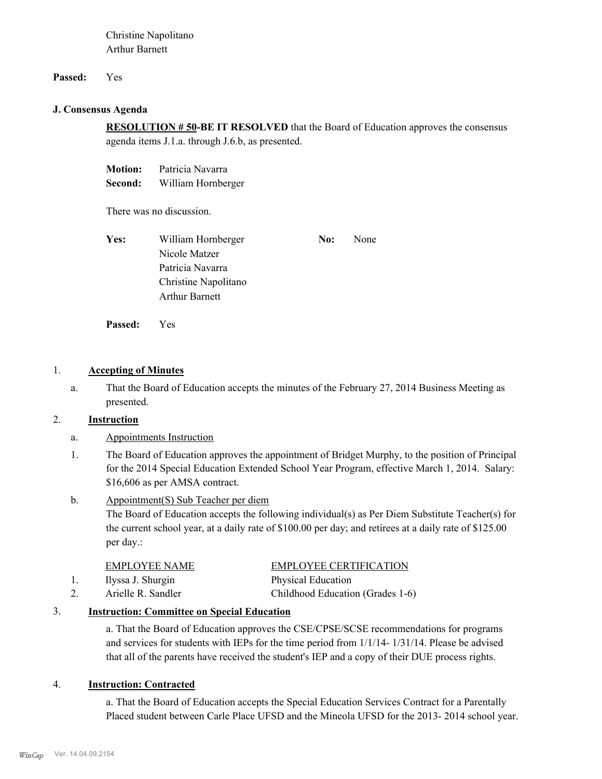Christine Napolitano Arthur Barnett

#### **Passed:** Yes

#### **J. Consensus Agenda**

**RESOLUTION # 50-BE IT RESOLVED** that the Board of Education approves the consensus agenda items J.1.a. through J.6.b, as presented.

**Motion:** Patricia Navarra **Second:** William Hornberger

There was no discussion.

| Yes: | William Hornberger    | No: | None |
|------|-----------------------|-----|------|
|      | Nicole Matzer         |     |      |
|      | Patricia Navarra      |     |      |
|      | Christine Napolitano  |     |      |
|      | <b>Arthur Barnett</b> |     |      |

**Passed:** Yes

#### 1. **Accepting of Minutes**

That the Board of Education accepts the minutes of the February 27, 2014 Business Meeting as presented. a.

## 2. **Instruction**

- a. Appointments Instruction
- The Board of Education approves the appointment of Bridget Murphy, to the position of Principal for the 2014 Special Education Extended School Year Program, effective March 1, 2014. Salary: \$16,606 as per AMSA contract. 1.

#### Appointment(S) Sub Teacher per diem b.

The Board of Education accepts the following individual(s) as Per Diem Substitute Teacher(s) for the current school year, at a daily rate of \$100.00 per day; and retirees at a daily rate of \$125.00 per day.:

| EMPLOYEE NAME      | <b>EMPLOYEE CERTIFICATION</b>    |
|--------------------|----------------------------------|
| Ilyssa J. Shurgin  | Physical Education               |
| Arielle R. Sandler | Childhood Education (Grades 1-6) |

# 3. **Instruction: Committee on Special Education**

a. That the Board of Education approves the CSE/CPSE/SCSE recommendations for programs and services for students with IEPs for the time period from 1/1/14- 1/31/14. Please be advised that all of the parents have received the student's IEP and a copy of their DUE process rights.

#### 4. **Instruction: Contracted**

a. That the Board of Education accepts the Special Education Services Contract for a Parentally Placed student between Carle Place UFSD and the Mineola UFSD for the 2013- 2014 school year.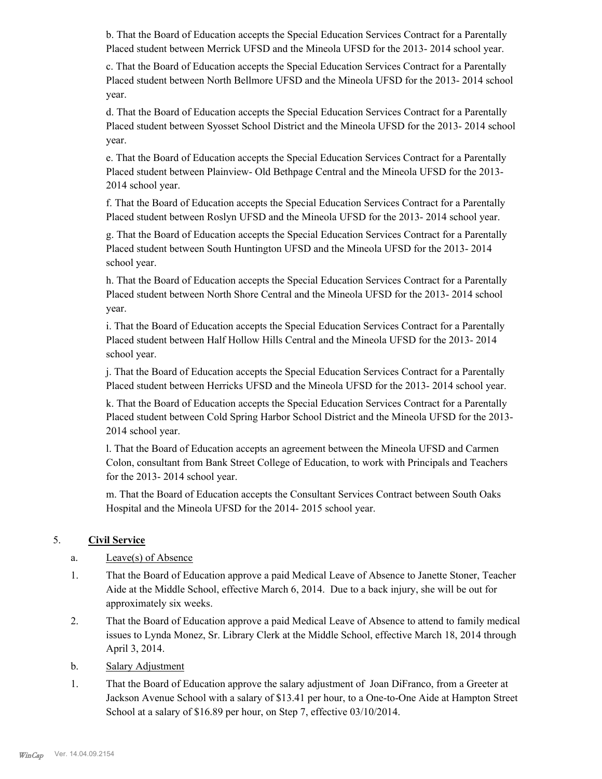b. That the Board of Education accepts the Special Education Services Contract for a Parentally Placed student between Merrick UFSD and the Mineola UFSD for the 2013- 2014 school year.

c. That the Board of Education accepts the Special Education Services Contract for a Parentally Placed student between North Bellmore UFSD and the Mineola UFSD for the 2013- 2014 school year.

d. That the Board of Education accepts the Special Education Services Contract for a Parentally Placed student between Syosset School District and the Mineola UFSD for the 2013- 2014 school year.

e. That the Board of Education accepts the Special Education Services Contract for a Parentally Placed student between Plainview- Old Bethpage Central and the Mineola UFSD for the 2013- 2014 school year.

f. That the Board of Education accepts the Special Education Services Contract for a Parentally Placed student between Roslyn UFSD and the Mineola UFSD for the 2013- 2014 school year.

g. That the Board of Education accepts the Special Education Services Contract for a Parentally Placed student between South Huntington UFSD and the Mineola UFSD for the 2013- 2014 school year.

h. That the Board of Education accepts the Special Education Services Contract for a Parentally Placed student between North Shore Central and the Mineola UFSD for the 2013- 2014 school year.

i. That the Board of Education accepts the Special Education Services Contract for a Parentally Placed student between Half Hollow Hills Central and the Mineola UFSD for the 2013- 2014 school year.

j. That the Board of Education accepts the Special Education Services Contract for a Parentally Placed student between Herricks UFSD and the Mineola UFSD for the 2013- 2014 school year.

k. That the Board of Education accepts the Special Education Services Contract for a Parentally Placed student between Cold Spring Harbor School District and the Mineola UFSD for the 2013- 2014 school year.

l. That the Board of Education accepts an agreement between the Mineola UFSD and Carmen Colon, consultant from Bank Street College of Education, to work with Principals and Teachers for the 2013- 2014 school year.

m. That the Board of Education accepts the Consultant Services Contract between South Oaks Hospital and the Mineola UFSD for the 2014- 2015 school year.

# 5. **Civil Service**

- a. Leave(s) of Absence
- That the Board of Education approve a paid Medical Leave of Absence to Janette Stoner, Teacher Aide at the Middle School, effective March 6, 2014. Due to a back injury, she will be out for approximately six weeks. 1.
- That the Board of Education approve a paid Medical Leave of Absence to attend to family medical issues to Lynda Monez, Sr. Library Clerk at the Middle School, effective March 18, 2014 through April 3, 2014. 2.
- b. Salary Adjustment
- That the Board of Education approve the salary adjustment of Joan DiFranco, from a Greeter at Jackson Avenue School with a salary of \$13.41 per hour, to a One-to-One Aide at Hampton Street School at a salary of \$16.89 per hour, on Step 7, effective 03/10/2014. 1.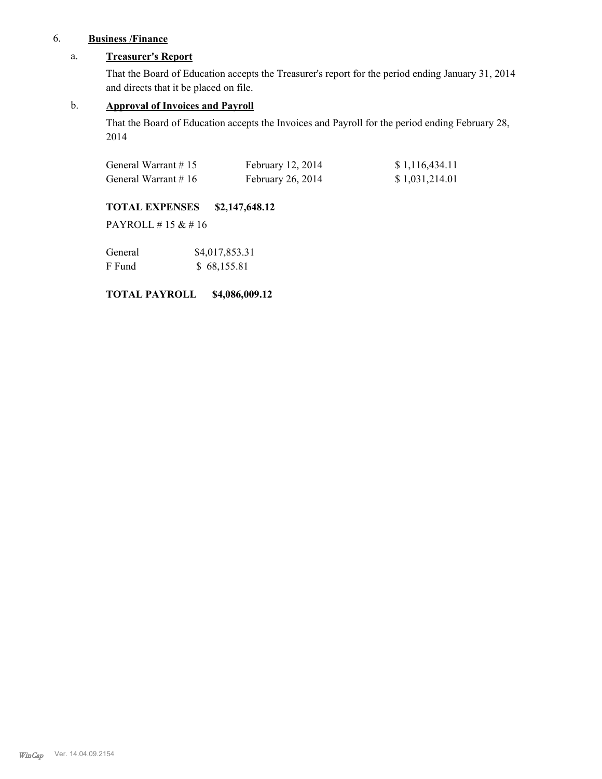# 6. **Business /Finance**

# a. **Treasurer's Report**

That the Board of Education accepts the Treasurer's report for the period ending January 31, 2014 and directs that it be placed on file.

#### b. **Approval of Invoices and Payroll**

That the Board of Education accepts the Invoices and Payroll for the period ending February 28, 2014

| General Warrant $# 15$ | February 12, 2014 | \$1,116,434.11 |
|------------------------|-------------------|----------------|
| General Warrant $# 16$ | February 26, 2014 | \$1,031,214.01 |

# **TOTAL EXPENSES \$2,147,648.12**

PAYROLL # 15 & # 16

| General | \$4,017,853.31 |
|---------|----------------|
| F Fund  | \$68,155.81    |

### **TOTAL PAYROLL \$4,086,009.12**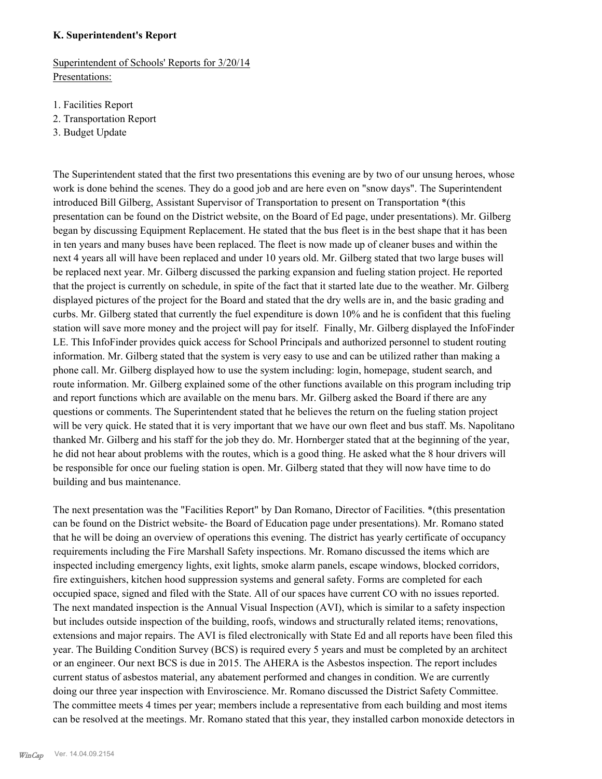#### **K. Superintendent's Report**

Superintendent of Schools' Reports for 3/20/14 Presentations:

- 1. Facilities Report
- 2. Transportation Report
- 3. Budget Update

The Superintendent stated that the first two presentations this evening are by two of our unsung heroes, whose work is done behind the scenes. They do a good job and are here even on "snow days". The Superintendent introduced Bill Gilberg, Assistant Supervisor of Transportation to present on Transportation \*(this presentation can be found on the District website, on the Board of Ed page, under presentations). Mr. Gilberg began by discussing Equipment Replacement. He stated that the bus fleet is in the best shape that it has been in ten years and many buses have been replaced. The fleet is now made up of cleaner buses and within the next 4 years all will have been replaced and under 10 years old. Mr. Gilberg stated that two large buses will be replaced next year. Mr. Gilberg discussed the parking expansion and fueling station project. He reported that the project is currently on schedule, in spite of the fact that it started late due to the weather. Mr. Gilberg displayed pictures of the project for the Board and stated that the dry wells are in, and the basic grading and curbs. Mr. Gilberg stated that currently the fuel expenditure is down 10% and he is confident that this fueling station will save more money and the project will pay for itself. Finally, Mr. Gilberg displayed the InfoFinder LE. This InfoFinder provides quick access for School Principals and authorized personnel to student routing information. Mr. Gilberg stated that the system is very easy to use and can be utilized rather than making a phone call. Mr. Gilberg displayed how to use the system including: login, homepage, student search, and route information. Mr. Gilberg explained some of the other functions available on this program including trip and report functions which are available on the menu bars. Mr. Gilberg asked the Board if there are any questions or comments. The Superintendent stated that he believes the return on the fueling station project will be very quick. He stated that it is very important that we have our own fleet and bus staff. Ms. Napolitano thanked Mr. Gilberg and his staff for the job they do. Mr. Hornberger stated that at the beginning of the year, he did not hear about problems with the routes, which is a good thing. He asked what the 8 hour drivers will be responsible for once our fueling station is open. Mr. Gilberg stated that they will now have time to do building and bus maintenance.

The next presentation was the "Facilities Report" by Dan Romano, Director of Facilities. \*(this presentation can be found on the District website- the Board of Education page under presentations). Mr. Romano stated that he will be doing an overview of operations this evening. The district has yearly certificate of occupancy requirements including the Fire Marshall Safety inspections. Mr. Romano discussed the items which are inspected including emergency lights, exit lights, smoke alarm panels, escape windows, blocked corridors, fire extinguishers, kitchen hood suppression systems and general safety. Forms are completed for each occupied space, signed and filed with the State. All of our spaces have current CO with no issues reported. The next mandated inspection is the Annual Visual Inspection (AVI), which is similar to a safety inspection but includes outside inspection of the building, roofs, windows and structurally related items; renovations, extensions and major repairs. The AVI is filed electronically with State Ed and all reports have been filed this year. The Building Condition Survey (BCS) is required every 5 years and must be completed by an architect or an engineer. Our next BCS is due in 2015. The AHERA is the Asbestos inspection. The report includes current status of asbestos material, any abatement performed and changes in condition. We are currently doing our three year inspection with Enviroscience. Mr. Romano discussed the District Safety Committee. The committee meets 4 times per year; members include a representative from each building and most items can be resolved at the meetings. Mr. Romano stated that this year, they installed carbon monoxide detectors in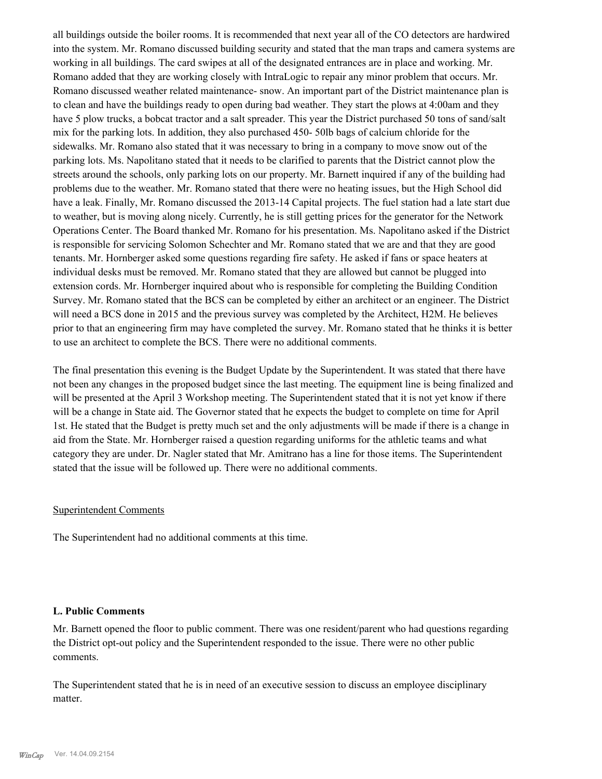all buildings outside the boiler rooms. It is recommended that next year all of the CO detectors are hardwired into the system. Mr. Romano discussed building security and stated that the man traps and camera systems are working in all buildings. The card swipes at all of the designated entrances are in place and working. Mr. Romano added that they are working closely with IntraLogic to repair any minor problem that occurs. Mr. Romano discussed weather related maintenance- snow. An important part of the District maintenance plan is to clean and have the buildings ready to open during bad weather. They start the plows at 4:00am and they have 5 plow trucks, a bobcat tractor and a salt spreader. This year the District purchased 50 tons of sand/salt mix for the parking lots. In addition, they also purchased 450- 50lb bags of calcium chloride for the sidewalks. Mr. Romano also stated that it was necessary to bring in a company to move snow out of the parking lots. Ms. Napolitano stated that it needs to be clarified to parents that the District cannot plow the streets around the schools, only parking lots on our property. Mr. Barnett inquired if any of the building had problems due to the weather. Mr. Romano stated that there were no heating issues, but the High School did have a leak. Finally, Mr. Romano discussed the 2013-14 Capital projects. The fuel station had a late start due to weather, but is moving along nicely. Currently, he is still getting prices for the generator for the Network Operations Center. The Board thanked Mr. Romano for his presentation. Ms. Napolitano asked if the District is responsible for servicing Solomon Schechter and Mr. Romano stated that we are and that they are good tenants. Mr. Hornberger asked some questions regarding fire safety. He asked if fans or space heaters at individual desks must be removed. Mr. Romano stated that they are allowed but cannot be plugged into extension cords. Mr. Hornberger inquired about who is responsible for completing the Building Condition Survey. Mr. Romano stated that the BCS can be completed by either an architect or an engineer. The District will need a BCS done in 2015 and the previous survey was completed by the Architect, H2M. He believes prior to that an engineering firm may have completed the survey. Mr. Romano stated that he thinks it is better to use an architect to complete the BCS. There were no additional comments.

The final presentation this evening is the Budget Update by the Superintendent. It was stated that there have not been any changes in the proposed budget since the last meeting. The equipment line is being finalized and will be presented at the April 3 Workshop meeting. The Superintendent stated that it is not yet know if there will be a change in State aid. The Governor stated that he expects the budget to complete on time for April 1st. He stated that the Budget is pretty much set and the only adjustments will be made if there is a change in aid from the State. Mr. Hornberger raised a question regarding uniforms for the athletic teams and what category they are under. Dr. Nagler stated that Mr. Amitrano has a line for those items. The Superintendent stated that the issue will be followed up. There were no additional comments.

#### Superintendent Comments

The Superintendent had no additional comments at this time.

#### **L. Public Comments**

Mr. Barnett opened the floor to public comment. There was one resident/parent who had questions regarding the District opt-out policy and the Superintendent responded to the issue. There were no other public comments.

The Superintendent stated that he is in need of an executive session to discuss an employee disciplinary matter.